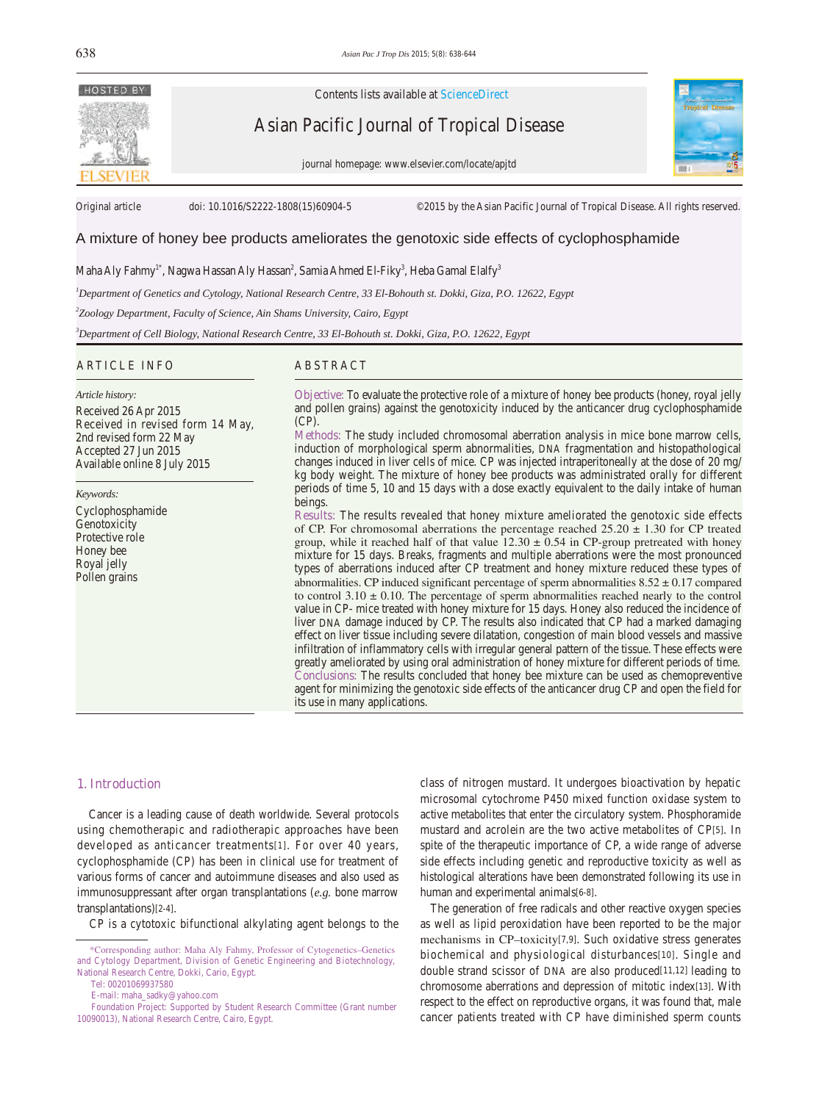

Contents lists available at ScienceDirect

Asian Pacific Journal of Tropical Disease

journal homepage: www.elsevier.com/locate/apjtd



Original article doi: 10.1016/S2222-1808(15)60904-5 ©2015 by the Asian Pacific Journal of Tropical Disease. All rights reserved.

# A mixture of honey bee products ameliorates the genotoxic side effects of cyclophosphamide

Maha Aly Fahmy $^{\rm l^*}$ , Nagwa Hassan Aly Hassan $^{\rm 2}$ , Samia Ahmed El-Fiky $^{\rm 3}$ , Heba Gamal Elalfy $^{\rm 3}$ 

*1 Department of Genetics and Cytology, National Research Centre, 33 El-Bohouth st. Dokki, Giza, P.O. 12622, Egypt* 

*2 Zoology Department, Faculty of Science, Ain Shams University, Cairo, Egypt*

*3 Department of Cell Biology, National Research Centre, 33 El-Bohouth st. Dokki, Giza, P.O. 12622, Egypt*

### ARTICLE INFO ABSTRACT

*Article history:* Received 26 Apr 2015 Received in revised form 14 May, 2nd revised form 22 May Accepted 27 Jun 2015 Available online 8 July 2015

*Keywords:*

Cyclophosphamide Genotoxicity Protective role Honey bee Royal jelly Pollen grains

**Objective:** To evaluate the protective role of a mixture of honey bee products (honey, royal jelly and pollen grains) against the genotoxicity induced by the anticancer drug cyclophosphamide (CP).

**Methods:** The study included chromosomal aberration analysis in mice bone marrow cells, induction of morphological sperm abnormalities, DNA fragmentation and histopathological changes induced in liver cells of mice. CP was injected intraperitoneally at the dose of 20 mg/ kg body weight. The mixture of honey bee products was administrated orally for different periods of time 5, 10 and 15 days with a dose exactly equivalent to the daily intake of human beings.

**Results:** The results revealed that honey mixture ameliorated the genotoxic side effects of CP. For chromosomal aberrations the percentage reached  $25.20 \pm 1.30$  for CP treated group, while it reached half of that value  $12.30 \pm 0.54$  in CP-group pretreated with honey mixture for 15 days. Breaks, fragments and multiple aberrations were the most pronounced types of aberrations induced after CP treatment and honey mixture reduced these types of abnormalities. CP induced significant percentage of sperm abnormalities  $8.52 \pm 0.17$  compared to control  $3.10 \pm 0.10$ . The percentage of sperm abnormalities reached nearly to the control value in CP- mice treated with honey mixture for 15 days. Honey also reduced the incidence of liver DNA damage induced by CP. The results also indicated that CP had a marked damaging effect on liver tissue including severe dilatation, congestion of main blood vessels and massive infiltration of inflammatory cells with irregular general pattern of the tissue. These effects were greatly ameliorated by using oral administration of honey mixture for different periods of time. **Conclusions:** The results concluded that honey bee mixture can be used as chemopreventive agent for minimizing the genotoxic side effects of the anticancer drug CP and open the field for its use in many applications.

#### **1. Introduction**

 Cancer is a leading cause of death worldwide. Several protocols using chemotherapic and radiotherapic approaches have been developed as anticancer treatments[1]. For over 40 years, cyclophosphamide (CP) has been in clinical use for treatment of various forms of cancer and autoimmune diseases and also used as immunosuppressant after organ transplantations (*e.g.* bone marrow transplantations)[2-4].

CP is a cytotoxic bifunctional alkylating agent belongs to the

class of nitrogen mustard. It undergoes bioactivation by hepatic microsomal cytochrome P450 mixed function oxidase system to active metabolites that enter the circulatory system. Phosphoramide mustard and acrolein are the two active metabolites of CP[5]. In spite of the therapeutic importance of CP, a wide range of adverse side effects including genetic and reproductive toxicity as well as histological alterations have been demonstrated following its use in human and experimental animals[6-8].

 The generation of free radicals and other reactive oxygen species as well as lipid peroxidation have been reported to be the major mechanisms in CP–toxicity[7,9]. Such oxidative stress generates biochemical and physiological disturbances[10]. Single and double strand scissor of DNA are also produced[11,12] leading to chromosome aberrations and depression of mitotic index[13]. With respect to the effect on reproductive organs, it was found that, male cancer patients treated with CP have diminished sperm counts

 <sup>\*</sup>Corresponding author: Maha Aly Fahmy, Professor of Cytogenetics–Genetics and Cytology Department, Division of Genetic Engineering and Biotechnology, National Research Centre, Dokki, Cario, Egypt.

Tel: 00201069937580

E-mail: maha\_sadky@yahoo.com

Foundation Project: Supported by Student Research Committee (Grant number 10090013), National Research Centre, Cairo, Egypt.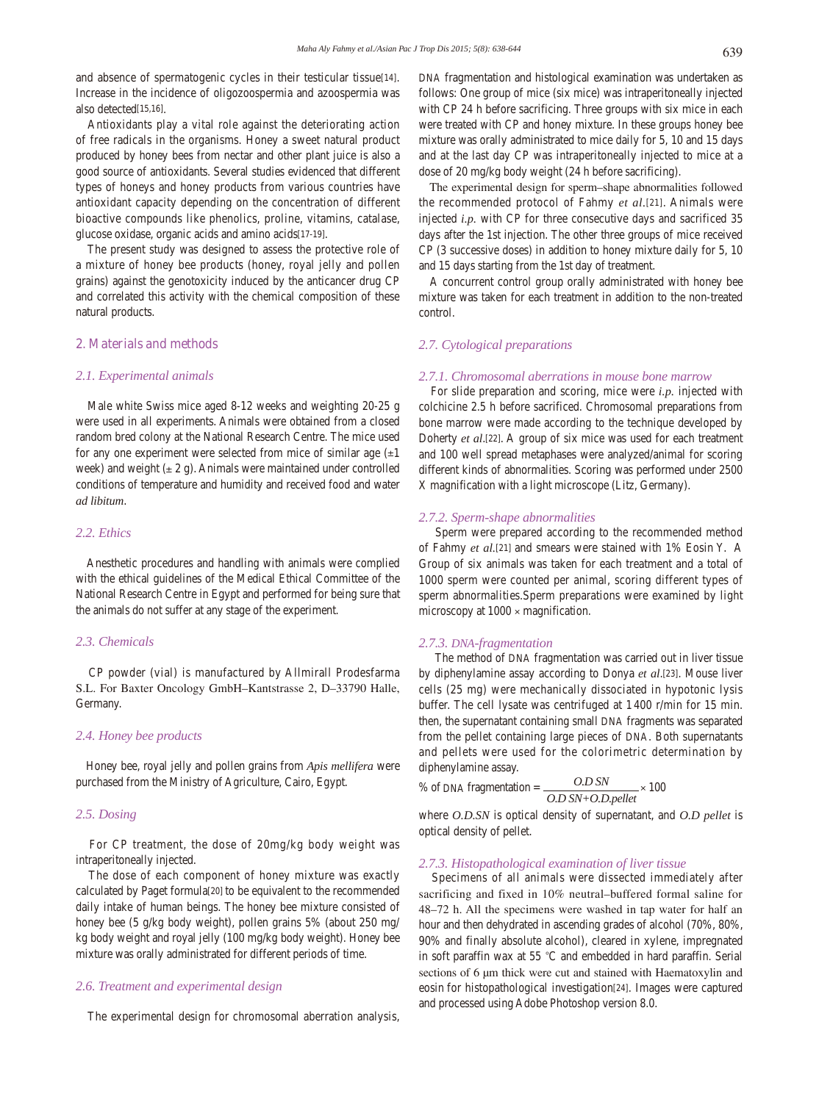and absence of spermatogenic cycles in their testicular tissue[14]. Increase in the incidence of oligozoospermia and azoospermia was also detected[15,16].

 Antioxidants play a vital role against the deteriorating action of free radicals in the organisms. Honey a sweet natural product produced by honey bees from nectar and other plant juice is also a good source of antioxidants. Several studies evidenced that different types of honeys and honey products from various countries have antioxidant capacity depending on the concentration of different bioactive compounds like phenolics, proline, vitamins, catalase, glucose oxidase, organic acids and amino acids[17-19].

 The present study was designed to assess the protective role of a mixture of honey bee products (honey, royal jelly and pollen grains) against the genotoxicity induced by the anticancer drug CP and correlated this activity with the chemical composition of these natural products.

#### **2. Materials and methods**

## *2.1. Experimental animals*

 Male white Swiss mice aged 8-12 weeks and weighting 20-25 g were used in all experiments. Animals were obtained from a closed random bred colony at the National Research Centre. The mice used for any one experiment were selected from mice of similar age  $(\pm 1)$ week) and weight  $(\pm 2 \text{ g})$ . Animals were maintained under controlled conditions of temperature and humidity and received food and water *ad libitum*.

### *2.2. Ethics*

 Anesthetic procedures and handling with animals were complied with the ethical guidelines of the Medical Ethical Committee of the National Research Centre in Egypt and performed for being sure that the animals do not suffer at any stage of the experiment.

#### *2.3. Chemicals*

 CP powder (vial) is manufactured by Allmirall Prodesfarma S.L. For Baxter Oncology GmbH–Kantstrasse 2, D–33790 Halle, Germany.

## *2.4. Honey bee products*

 Honey bee, royal jelly and pollen grains from *Apis mellifera* were purchased from the Ministry of Agriculture, Cairo, Egypt.

## *2.5. Dosing*

 For CP treatment, the dose of 20mg/kg body weight was intraperitoneally injected.

 The dose of each component of honey mixture was exactly calculated by Paget formula[20] to be equivalent to the recommended daily intake of human beings. The honey bee mixture consisted of honey bee (5 g/kg body weight), pollen grains 5% (about 250 mg/ kg body weight and royal jelly (100 mg/kg body weight). Honey bee mixture was orally administrated for different periods of time.

## *2.6. Treatment and experimental design*

The experimental design for chromosomal aberration analysis,

DNA fragmentation and histological examination was undertaken as follows: One group of mice (six mice) was intraperitoneally injected with CP 24 h before sacrificing. Three groups with six mice in each were treated with CP and honey mixture. In these groups honey bee mixture was orally administrated to mice daily for 5, 10 and 15 days and at the last day CP was intraperitoneally injected to mice at a dose of 20 mg/kg body weight (24 h before sacrificing).

 The experimental design for sperm–shape abnormalities followed the recommended protocol of Fahmy *et al.*[21]. Animals were injected *i.p.* with CP for three consecutive days and sacrificed 35 days after the 1st injection. The other three groups of mice received CP (3 successive doses) in addition to honey mixture daily for 5, 10 and 15 days starting from the 1st day of treatment.

 A concurrent control group orally administrated with honey bee mixture was taken for each treatment in addition to the non-treated control.

# *2.7. Cytological preparations*

#### *2.7.1. Chromosomal aberrations in mouse bone marrow*

 For slide preparation and scoring, mice were *i.p.* injected with colchicine 2.5 h before sacrificed. Chromosomal preparations from bone marrow were made according to the technique developed by Doherty *et al*.[22]. A group of six mice was used for each treatment and 100 well spread metaphases were analyzed/animal for scoring different kinds of abnormalities. Scoring was performed under 2500 X magnification with a light microscope (Litz, Germany).

## *2.7.2. Sperm-shape abnormalities*

 Sperm were prepared according to the recommended method of Fahmy *et al.*[21] and smears were stained with 1% Eosin Y. A Group of six animals was taken for each treatment and a total of 1000 sperm were counted per animal, scoring different types of sperm abnormalities.Sperm preparations were examined by light microscopy at 1000 × magnification.

#### *2.7.3. DNA-fragmentation*

 The method of DNA fragmentation was carried out in liver tissue by diphenylamine assay according to Donya *et al*.[23]. Mouse liver cells (25 mg) were mechanically dissociated in hypotonic lysis buffer. The cell lysate was centrifuged at 1 400 r/min for 15 min. then, the supernatant containing small DNA fragments was separated from the pellet containing large pieces of DNA. Both supernatants and pellets were used for the colorimetric determination by diphenylamine assay.

% of DNA fragmentation = 
$$
\frac{OD SN}{OD SN + OD. pellet} \times 100
$$

where *O.D.SN* is optical density of supernatant, and *O.D pellet* is optical density of pellet.

## *2.7.3. Histopathological examination of liver tissue*

 Specimens of all animals were dissected immediately after sacrificing and fixed in 10% neutral–buffered formal saline for 48–72 h. All the specimens were washed in tap water for half an hour and then dehydrated in ascending grades of alcohol (70%, 80%, 90% and finally absolute alcohol), cleared in xylene, impregnated in soft paraffin wax at 55 *°*C and embedded in hard paraffin. Serial sections of 6 µm thick were cut and stained with Haematoxylin and eosin for histopathological investigation[24]. Images were captured and processed using Adobe Photoshop version 8.0.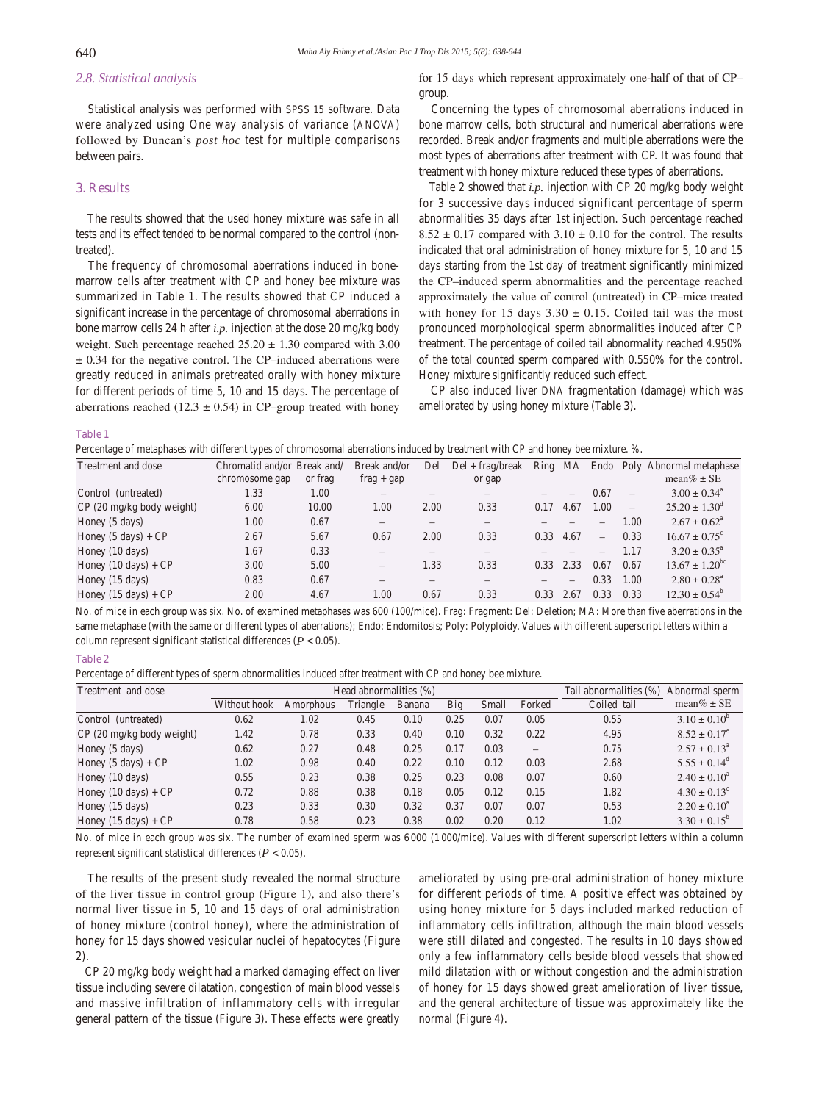# *2.8. Statistical analysis*

 Statistical analysis was performed with SPSS 15 software. Data were analyzed using One way analysis of variance (ANOVA) followed by Duncan's *post hoc* test for multiple comparisons between pairs.

# **3. Results**

 The results showed that the used honey mixture was safe in all tests and its effect tended to be normal compared to the control (nontreated).

 The frequency of chromosomal aberrations induced in bonemarrow cells after treatment with CP and honey bee mixture was summarized in Table 1. The results showed that CP induced a significant increase in the percentage of chromosomal aberrations in bone marrow cells 24 h after *i.p.* injection at the dose 20 mg/kg body weight. Such percentage reached  $25.20 \pm 1.30$  compared with 3.00 ± 0.34 for the negative control. The CP–induced aberrations were greatly reduced in animals pretreated orally with honey mixture for different periods of time 5, 10 and 15 days. The percentage of aberrations reached (12.3  $\pm$  0.54) in CP–group treated with honey for 15 days which represent approximately one-half of that of CP– group.

 Concerning the types of chromosomal aberrations induced in bone marrow cells, both structural and numerical aberrations were recorded. Break and/or fragments and multiple aberrations were the most types of aberrations after treatment with CP. It was found that treatment with honey mixture reduced these types of aberrations.

 Table 2 showed that *i.p.* injection with CP 20 mg/kg body weight for 3 successive days induced significant percentage of sperm abnormalities 35 days after 1st injection. Such percentage reached  $8.52 \pm 0.17$  compared with  $3.10 \pm 0.10$  for the control. The results indicated that oral administration of honey mixture for 5, 10 and 15 days starting from the 1st day of treatment significantly minimized the CP–induced sperm abnormalities and the percentage reached approximately the value of control (untreated) in CP–mice treated with honey for 15 days  $3.30 \pm 0.15$ . Coiled tail was the most pronounced morphological sperm abnormalities induced after CP treatment. The percentage of coiled tail abnormality reached 4.950% of the total counted sperm compared with 0.550% for the control. Honey mixture significantly reduced such effect.

 CP also induced liver DNA fragmentation (damage) which was ameliorated by using honey mixture (Table 3).

**Table 1**

Percentage of metaphases with different types of chromosomal aberrations induced by treatment with CP and honey bee mixture. %.

| Treatment and dose                 | Chromatid and/or Break and/ |         | Break and/or                   | Del  | $Del + frag/break$ | Ring | MA                       |                          |                          | Endo Poly Abnormal metaphase  |
|------------------------------------|-----------------------------|---------|--------------------------------|------|--------------------|------|--------------------------|--------------------------|--------------------------|-------------------------------|
|                                    | chromosome gap              | or frag | $frag + gap$                   |      | or gap             |      |                          |                          |                          | mean $\% \pm SE$              |
| Control (untreated)                | 1.33                        | 1.00    | $\qquad \qquad$                |      |                    |      | $\overline{\phantom{0}}$ | 0.67                     | $\overline{\phantom{0}}$ | $3.00 \pm 0.34^{\circ}$       |
| $CP(20 \text{ mg/kg}$ body weight) | 6.00                        | 10.00   | 1.00                           | 2.00 | 0.33               | 0.17 | 4.67                     | 1.00                     | $\overline{\phantom{m}}$ | $25.20 \pm 1.30^{\circ}$      |
| Honey (5 days)                     | 1.00                        | 0.67    | $\qquad \qquad \longleftarrow$ |      |                    |      |                          | $\qquad \qquad$          | 1.00                     | $2.67 \pm 0.62^{\circ}$       |
| Honey $(5 \text{ days}) + CP$      | 2.67                        | 5.67    | 0.67                           | 2.00 | 0.33               | 0.33 | 4.67                     | $\overline{\phantom{a}}$ | 0.33                     | $16.67 \pm 0.75$ <sup>c</sup> |
| Honey $(10 \text{ days})$          | 1.67                        | 0.33    |                                |      |                    |      |                          |                          | 1.17                     | $3.20 \pm 0.35^{\circ}$       |
| Honey $(10 \text{ days}) + CP$     | 3.00                        | 5.00    | $\overline{\phantom{0}}$       | 1.33 | 0.33               | 0.33 | 2.33                     | 0.67                     | 0.67                     | $13.67 \pm 1.20^{\rm bc}$     |
| Honey (15 days)                    | 0.83                        | 0.67    | $\qquad \qquad \longleftarrow$ |      |                    |      | $\qquad \qquad$          | 0.33                     | 1.00                     | $2.80 \pm 0.28^{\circ}$       |
| Honey $(15 \text{ days}) + CP$     | 2.00                        | 4.67    | 1.00                           | 0.67 | 0.33               | 0.33 | 2.67                     | 0.33                     | 0.33                     | $12.30 \pm 0.54^{\circ}$      |
|                                    |                             |         |                                |      |                    |      |                          |                          |                          |                               |

No. of mice in each group was six. No. of examined metaphases was 600 (100/mice). Frag: Fragment: Del: Deletion; MA: More than five aberrations in the same metaphase (with the same or different types of aberrations); Endo: Endomitosis; Poly: Polyploidy. Values with different superscript letters within a column represent significant statistical differences  $(P < 0.05)$ .

#### **Table 2**

Percentage of different types of sperm abnormalities induced after treatment with CP and honey bee mixture.

| Treatment and dose                 | Head abnormalities (%) |           |          |        |      |       | Tail abnormalities (%)   | Abnormal sperm |                              |
|------------------------------------|------------------------|-----------|----------|--------|------|-------|--------------------------|----------------|------------------------------|
|                                    | Without hook           | Amorphous | Triangle | Banana | Big  | Small | Forked                   | Coiled tail    | mean $\% \pm SE$             |
| Control (untreated)                | 0.62                   | 1.02      | 0.45     | 0.10   | 0.25 | 0.07  | 0.05                     | 0.55           | $3.10 \pm 0.10^b$            |
| $CP(20 \text{ mg/kg}$ body weight) | 1.42                   | 0.78      | 0.33     | 0.40   | 0.10 | 0.32  | 0.22                     | 4.95           | $8.52 \pm 0.17^e$            |
| Honey (5 days)                     | 0.62                   | 0.27      | 0.48     | 0.25   | 0.17 | 0.03  | $\overline{\phantom{a}}$ | 0.75           | $2.57 \pm 0.13^{\circ}$      |
| Honey $(5 \text{ days}) + CP$      | 1.02                   | 0.98      | 0.40     | 0.22   | 0.10 | 0.12  | 0.03                     | 2.68           | $5.55 \pm 0.14^{\circ}$      |
| Honey $(10 \text{ days})$          | 0.55                   | 0.23      | 0.38     | 0.25   | 0.23 | 0.08  | 0.07                     | 0.60           | $2.40 \pm 0.10^a$            |
| Honey $(10 \text{ days}) + CP$     | 0.72                   | 0.88      | 0.38     | 0.18   | 0.05 | 0.12  | 0.15                     | 1.82           | $4.30 \pm 0.13$ <sup>c</sup> |
| Honey $(15 \text{ days})$          | 0.23                   | 0.33      | 0.30     | 0.32   | 0.37 | 0.07  | 0.07                     | 0.53           | $2.20 \pm 0.10^a$            |
| Honey $(15 \text{ days}) + CP$     | 0.78                   | 0.58      | 0.23     | 0.38   | 0.02 | 0.20  | 0.12                     | 1.02           | $3.30 \pm 0.15^{\circ}$      |

No. of mice in each group was six. The number of examined sperm was 6000 (1 000/mice). Values with different superscript letters within a column represent significant statistical differences (*P* < 0.05).

 The results of the present study revealed the normal structure of the liver tissue in control group (Figure 1), and also there's normal liver tissue in 5, 10 and 15 days of oral administration of honey mixture (control honey), where the administration of honey for 15 days showed vesicular nuclei of hepatocytes (Figure 2).

 CP 20 mg/kg body weight had a marked damaging effect on liver tissue including severe dilatation, congestion of main blood vessels and massive infiltration of inflammatory cells with irregular general pattern of the tissue (Figure 3). These effects were greatly ameliorated by using pre-oral administration of honey mixture for different periods of time. A positive effect was obtained by using honey mixture for 5 days included marked reduction of inflammatory cells infiltration, although the main blood vessels were still dilated and congested. The results in 10 days showed only a few inflammatory cells beside blood vessels that showed mild dilatation with or without congestion and the administration of honey for 15 days showed great amelioration of liver tissue, and the general architecture of tissue was approximately like the normal (Figure 4).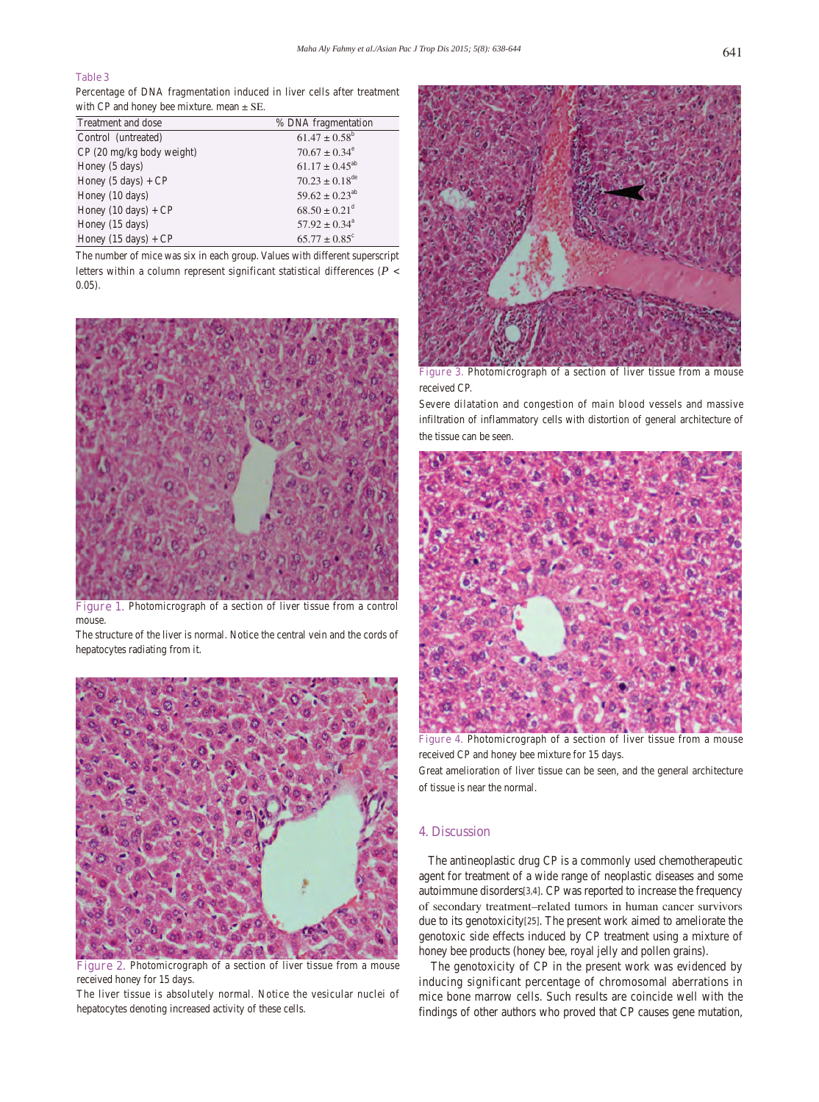# **Table 3**

Percentage of DNA fragmentation induced in liver cells after treatment with CP and honey bee mixture. mean  $\pm$  SE.

| Treatment and dose                 | % DNA fragmentation            |  |  |  |  |  |
|------------------------------------|--------------------------------|--|--|--|--|--|
| Control (untreated)                | $61.47 \pm 0.58^b$             |  |  |  |  |  |
| $CP(20 \text{ mg/kg}$ body weight) | $70.67 \pm 0.34^{\circ}$       |  |  |  |  |  |
| Honey (5 days)                     | $61.17 \pm 0.45^{ab}$          |  |  |  |  |  |
| Honey $(5 \text{ days}) + CP$      | $70.23 \pm 0.18$ <sup>de</sup> |  |  |  |  |  |
| Honey (10 days)                    | $59.62 \pm 0.23^{ab}$          |  |  |  |  |  |
| Honey $(10 \text{ days}) + CP$     | $68.50 \pm 0.21^{\text{d}}$    |  |  |  |  |  |
| Honey (15 days)                    | $57.92 \pm 0.34^{\circ}$       |  |  |  |  |  |
| Honey $(15 \text{ days}) + CP$     | $65.77 \pm 0.85$ <sup>c</sup>  |  |  |  |  |  |

The number of mice was six in each group. Values with different superscript letters within a column represent significant statistical differences (*P* < 0.05).



Figure 1. Photomicrograph of a section of liver tissue from a control mouse.

The structure of the liver is normal. Notice the central vein and the cords of hepatocytes radiating from it.



Figure 2. Photomicrograph of a section of liver tissue from a mouse received honey for 15 days.

The liver tissue is absolutely normal. Notice the vesicular nuclei of hepatocytes denoting increased activity of these cells.



**Figure 3.** Photomicrograph of a section of liver tissue from a mouse received CP.

Severe dilatation and congestion of main blood vessels and massive infiltration of inflammatory cells with distortion of general architecture of the tissue can be seen.



**Figure 4.** Photomicrograph of a section of liver tissue from a mouse received CP and honey bee mixture for 15 days.

Great amelioration of liver tissue can be seen, and the general architecture of tissue is near the normal.

## **4. Discussion**

 The antineoplastic drug CP is a commonly used chemotherapeutic agent for treatment of a wide range of neoplastic diseases and some autoimmune disorders[3,4]. CP was reported to increase the frequency of secondary treatment–related tumors in human cancer survivors due to its genotoxicity[25]. The present work aimed to ameliorate the genotoxic side effects induced by CP treatment using a mixture of honey bee products (honey bee, royal jelly and pollen grains).

 The genotoxicity of CP in the present work was evidenced by inducing significant percentage of chromosomal aberrations in mice bone marrow cells. Such results are coincide well with the findings of other authors who proved that CP causes gene mutation,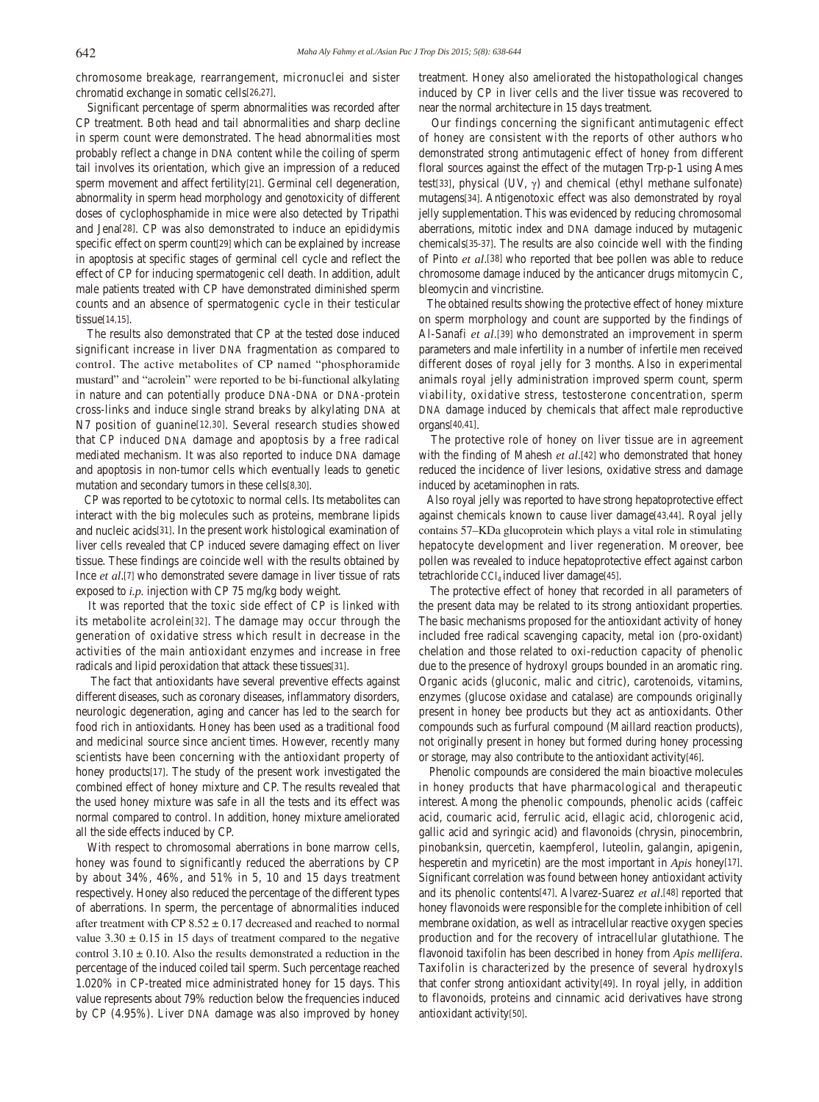chromosome breakage, rearrangement, micronuclei and sister chromatid exchange in somatic cells[26,27].

 Significant percentage of sperm abnormalities was recorded after CP treatment. Both head and tail abnormalities and sharp decline in sperm count were demonstrated. The head abnormalities most probably reflect a change in DNA content while the coiling of sperm tail involves its orientation, which give an impression of a reduced sperm movement and affect fertility[21]. Germinal cell degeneration, abnormality in sperm head morphology and genotoxicity of different doses of cyclophosphamide in mice were also detected by Tripathi and Jena[28]. CP was also demonstrated to induce an epididymis specific effect on sperm count[29] which can be explained by increase in apoptosis at specific stages of germinal cell cycle and reflect the effect of CP for inducing spermatogenic cell death. In addition, adult male patients treated with CP have demonstrated diminished sperm counts and an absence of spermatogenic cycle in their testicular tissue[14,15].

 The results also demonstrated that CP at the tested dose induced significant increase in liver DNA fragmentation as compared to control. The active metabolites of CP named "phosphoramide mustard" and "acrolein" were reported to be bi-functional alkylating in nature and can potentially produce DNA-DNA or DNA-protein cross-links and induce single strand breaks by alkylating DNA at N7 position of guanine[12,30]. Several research studies showed that CP induced DNA damage and apoptosis by a free radical mediated mechanism. It was also reported to induce DNA damage and apoptosis in non-tumor cells which eventually leads to genetic mutation and secondary tumors in these cells[8,30].

 CP was reported to be cytotoxic to normal cells. Its metabolites can interact with the big molecules such as proteins, membrane lipids and nucleic acids[31]. In the present work histological examination of liver cells revealed that CP induced severe damaging effect on liver tissue. These findings are coincide well with the results obtained by Ince *et al*.[7] who demonstrated severe damage in liver tissue of rats exposed to *i.p.* injection with CP 75 mg/kg body weight.

 It was reported that the toxic side effect of CP is linked with its metabolite acrolein[32]. The damage may occur through the generation of oxidative stress which result in decrease in the activities of the main antioxidant enzymes and increase in free radicals and lipid peroxidation that attack these tissues[31].

 The fact that antioxidants have several preventive effects against different diseases, such as coronary diseases, inflammatory disorders, neurologic degeneration, aging and cancer has led to the search for food rich in antioxidants. Honey has been used as a traditional food and medicinal source since ancient times. However, recently many scientists have been concerning with the antioxidant property of honey products[17]. The study of the present work investigated the combined effect of honey mixture and CP. The results revealed that the used honey mixture was safe in all the tests and its effect was normal compared to control. In addition, honey mixture ameliorated all the side effects induced by CP.

 With respect to chromosomal aberrations in bone marrow cells, honey was found to significantly reduced the aberrations by CP by about 34%, 46%, and 51% in 5, 10 and 15 days treatment respectively. Honey also reduced the percentage of the different types of aberrations. In sperm, the percentage of abnormalities induced after treatment with CP  $8.52 \pm 0.17$  decreased and reached to normal value  $3.30 \pm 0.15$  in 15 days of treatment compared to the negative control  $3.10 \pm 0.10$ . Also the results demonstrated a reduction in the percentage of the induced coiled tail sperm. Such percentage reached 1.020% in CP-treated mice administrated honey for 15 days. This value represents about 79% reduction below the frequencies induced by CP (4.95%). Liver DNA damage was also improved by honey

treatment. Honey also ameliorated the histopathological changes induced by CP in liver cells and the liver tissue was recovered to near the normal architecture in 15 days treatment.

 Our findings concerning the significant antimutagenic effect of honey are consistent with the reports of other authors who demonstrated strong antimutagenic effect of honey from different floral sources against the effect of the mutagen Trp-p-1 using Ames test[33], physical (UV,  $\gamma$ ) and chemical (ethyl methane sulfonate) mutagens[34]. Antigenotoxic effect was also demonstrated by royal jelly supplementation. This was evidenced by reducing chromosomal aberrations, mitotic index and DNA damage induced by mutagenic chemicals[35-37]. The results are also coincide well with the finding of Pinto *et al*.[38] who reported that bee pollen was able to reduce chromosome damage induced by the anticancer drugs mitomycin C, bleomycin and vincristine.

 The obtained results showing the protective effect of honey mixture on sperm morphology and count are supported by the findings of Al-Sanafi *et al*.[39] who demonstrated an improvement in sperm parameters and male infertility in a number of infertile men received different doses of royal jelly for 3 months. Also in experimental animals royal jelly administration improved sperm count, sperm viability, oxidative stress, testosterone concentration, sperm DNA damage induced by chemicals that affect male reproductive organs[40,41].

 The protective role of honey on liver tissue are in agreement with the finding of Mahesh *et al*.[42] who demonstrated that honey reduced the incidence of liver lesions, oxidative stress and damage induced by acetaminophen in rats.

 Also royal jelly was reported to have strong hepatoprotective effect against chemicals known to cause liver damage[43,44]. Royal jelly contains 57–KDa glucoprotein which plays a vital role in stimulating hepatocyte development and liver regeneration. Moreover, bee pollen was revealed to induce hepatoprotective effect against carbon tetrachloride  $CCl_4$  induced liver damage[45].

 The protective effect of honey that recorded in all parameters of the present data may be related to its strong antioxidant properties. The basic mechanisms proposed for the antioxidant activity of honey included free radical scavenging capacity, metal ion (pro-oxidant) chelation and those related to oxi-reduction capacity of phenolic due to the presence of hydroxyl groups bounded in an aromatic ring. Organic acids (gluconic, malic and citric), carotenoids, vitamins, enzymes (glucose oxidase and catalase) are compounds originally present in honey bee products but they act as antioxidants. Other compounds such as furfural compound (Maillard reaction products), not originally present in honey but formed during honey processing or storage, may also contribute to the antioxidant activity[46].

 Phenolic compounds are considered the main bioactive molecules in honey products that have pharmacological and therapeutic interest. Among the phenolic compounds, phenolic acids (caffeic acid, coumaric acid, ferrulic acid, ellagic acid, chlorogenic acid, gallic acid and syringic acid) and flavonoids (chrysin, pinocembrin, pinobanksin, quercetin, kaempferol, luteolin, galangin, apigenin, hesperetin and myricetin) are the most important in *Apis* honey[17]. Significant correlation was found between honey antioxidant activity and its phenolic contents[47]. Alvarez-Suarez *et al*.[48] reported that honey flavonoids were responsible for the complete inhibition of cell membrane oxidation, as well as intracellular reactive oxygen species production and for the recovery of intracellular glutathione. The flavonoid taxifolin has been described in honey from *Apis mellifera*. Taxifolin is characterized by the presence of several hydroxyls that confer strong antioxidant activity[49]. In royal jelly, in addition to flavonoids, proteins and cinnamic acid derivatives have strong antioxidant activity[50].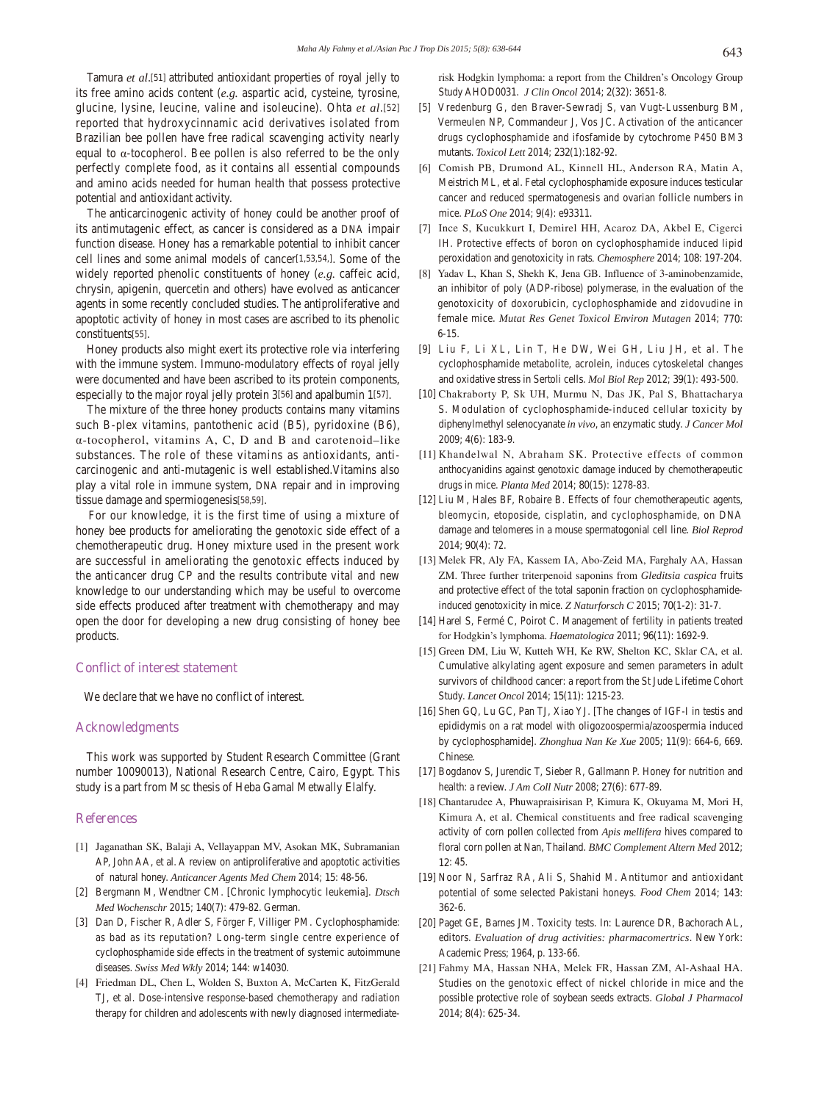Tamura *et al*.[51] attributed antioxidant properties of royal jelly to its free amino acids content (*e.g.* aspartic acid, cysteine, tyrosine, glucine, lysine, leucine, valine and isoleucine). Ohta *et al*.[52] reported that hydroxycinnamic acid derivatives isolated from Brazilian bee pollen have free radical scavenging activity nearly equal to α-tocopherol. Bee pollen is also referred to be the only perfectly complete food, as it contains all essential compounds and amino acids needed for human health that possess protective potential and antioxidant activity.

 The anticarcinogenic activity of honey could be another proof of its antimutagenic effect, as cancer is considered as a DNA impair function disease. Honey has a remarkable potential to inhibit cancer cell lines and some animal models of cancer[1,53,54,]. Some of the widely reported phenolic constituents of honey (*e.g.* caffeic acid, chrysin, apigenin, quercetin and others) have evolved as anticancer agents in some recently concluded studies. The antiproliferative and apoptotic activity of honey in most cases are ascribed to its phenolic constituents[55].

 Honey products also might exert its protective role via interfering with the immune system. Immuno-modulatory effects of royal jelly were documented and have been ascribed to its protein components, especially to the major royal jelly protein 3[56] and apalbumin 1[57].

 The mixture of the three honey products contains many vitamins such B-plex vitamins, pantothenic acid (B5), pyridoxine (B6), α-tocopherol, vitamins A, C, D and B and carotenoid–like substances. The role of these vitamins as antioxidants, anticarcinogenic and anti-mutagenic is well established.Vitamins also play a vital role in immune system, DNA repair and in improving tissue damage and spermiogenesis[58,59].

 For our knowledge, it is the first time of using a mixture of honey bee products for ameliorating the genotoxic side effect of a chemotherapeutic drug. Honey mixture used in the present work are successful in ameliorating the genotoxic effects induced by the anticancer drug CP and the results contribute vital and new knowledge to our understanding which may be useful to overcome side effects produced after treatment with chemotherapy and may open the door for developing a new drug consisting of honey bee products.

#### **Conflict of interest statement**

We declare that we have no conflict of interest.

#### **Acknowledgments**

 This work was supported by Student Research Committee (Grant number 10090013), National Research Centre, Cairo, Egypt. This study is a part from Msc thesis of Heba Gamal Metwally Elalfy.

#### **References**

- [1] Jaganathan SK, Balaji A, Vellayappan MV, Asokan MK, Subramanian AP, John AA, et al. A review on antiproliferative and apoptotic activities of natural honey. *Anticancer Agents Med Chem* 2014; **15**: 48-56.
- [2] Bergmann M, Wendtner CM. [Chronic lymphocytic leukemia]. *Dtsch Med Wochenschr* 2015; **140**(7): 479-82. German.
- [3] Dan D, Fischer R, Adler S, Förger F, Villiger PM. Cyclophosphamide: as bad as its reputation? Long-term single centre experience of cyclophosphamide side effects in the treatment of systemic autoimmune diseases. *Swiss Med Wkly* 2014; **144**: w14030.
- [4] Friedman DL, Chen L, Wolden S, Buxton A, McCarten K, FitzGerald TJ, et al. Dose-intensive response-based chemotherapy and radiation therapy for children and adolescents with newly diagnosed intermediate-

risk Hodgkin lymphoma: a report from the Children's Oncology Group Study AHOD0031. *J Clin Oncol* 2014; **2**(32): 3651-8.

- [5] Vredenburg G, den Braver-Sewradj S, van Vugt-Lussenburg BM, Vermeulen NP, Commandeur J, Vos JC. Activation of the anticancer drugs cyclophosphamide and ifosfamide by cytochrome P450 BM3 mutants. *Toxicol Lett* 2014; **232**(1):182-92.
- [6] Comish PB, Drumond AL, Kinnell HL, Anderson RA, Matin A, Meistrich ML, et al. Fetal cyclophosphamide exposure induces testicular cancer and reduced spermatogenesis and ovarian follicle numbers in mice. *PLoS One* 2014; **9**(4): e93311.
- [7] Ince S, Kucukkurt I, Demirel HH, Acaroz DA, Akbel E, Cigerci IH. Protective effects of boron on cyclophosphamide induced lipid peroxidation and genotoxicity in rats*. Chemosphere* 2014; **108**: 197-204.
- [8] Yadav L, Khan S, Shekh K, Jena GB. Influence of 3-aminobenzamide, an inhibitor of poly (ADP-ribose) polymerase, in the evaluation of the genotoxicity of doxorubicin, cyclophosphamide and zidovudine in female mice. *Mutat Res Genet Toxicol Environ Mutagen* 2014; **770**: 6-15.
- [9] Liu F, Li XL, Lin T, He DW, Wei GH, Liu JH, et al. The cyclophosphamide metabolite, acrolein, induces cytoskeletal changes and oxidative stress in Sertoli cells. *Mol Biol Rep* 2012; **39**(1): 493-500.
- [10] Chakraborty P, Sk UH, Murmu N, Das JK, Pal S, Bhattacharya S. Modulation of cyclophosphamide-induced cellular toxicity by diphenylmethyl selenocyanate *in vivo*, an enzymatic study. *J Cancer Mol* 2009; **4**(6): 183-9.
- [11] Khandelwal N, Abraham SK. Protective effects of common anthocyanidins against genotoxic damage induced by chemotherapeutic drugs in mice. *Planta Med* 2014; **80**(15): 1278-83.
- [12] Liu M, Hales BF, Robaire B. Effects of four chemotherapeutic agents, bleomycin, etoposide, cisplatin, and cyclophosphamide, on DNA damage and telomeres in a mouse spermatogonial cell line. *Biol Reprod*  2014; **90**(4): 72.
- [13] Melek FR, Aly FA, Kassem IA, Abo-Zeid MA, Farghaly AA, Hassan ZM. Three further triterpenoid saponins from *Gleditsia caspica* fruits and protective effect of the total saponin fraction on cyclophosphamideinduced genotoxicity in mice. *Z Naturforsch C* 2015; **70**(1-2): 31-7.
- [14] Harel S, Fermé C, Poirot C. Management of fertility in patients treated for Hodgkin's lymphoma. *Haematologica* 2011; **96**(11): 1692-9.
- [15] Green DM, Liu W, Kutteh WH, Ke RW, Shelton KC, Sklar CA, et al. Cumulative alkylating agent exposure and semen parameters in adult survivors of childhood cancer: a report from the St Jude Lifetime Cohort Study. *Lancet Oncol* 2014; **15**(11): 1215-23.
- [16] Shen GQ, Lu GC, Pan TJ, Xiao YJ. [The changes of IGF-I in testis and epididymis on a rat model with oligozoospermia/azoospermia induced by cyclophosphamide]. *Zhonghua Nan Ke Xue* 2005; **11**(9): 664-6, 669. Chinese.
- [17] Bogdanov S, Jurendic T, Sieber R, Gallmann P. Honey for nutrition and health: a review. *J Am Coll Nutr* 2008; **27**(6): 677-89.
- [18] Chantarudee A, Phuwapraisirisan P, Kimura K, Okuyama M, Mori H, Kimura A, et al. Chemical constituents and free radical scavenging activity of corn pollen collected from *Apis mellifera* hives compared to floral corn pollen at Nan, Thailand. *BMC Complement Altern Med* 2012; **12**: 45.
- [19] Noor N, Sarfraz RA, Ali S, Shahid M. Antitumor and antioxidant potential of some selected Pakistani honeys. *Food Chem* 2014; **143**: 362-6.
- [20] Paget GE, Barnes JM. Toxicity tests. In: Laurence DR, Bachorach AL, editors. *Evaluation of drug activities: pharmacomertrics*. New York: Academic Press; 1964, p. 133-66.
- [21] Fahmy MA, Hassan NHA, Melek FR, Hassan ZM, Al-Ashaal HA. Studies on the genotoxic effect of nickel chloride in mice and the possible protective role of soybean seeds extracts. *Global J Pharmacol* 2014; **8**(4): 625-34.